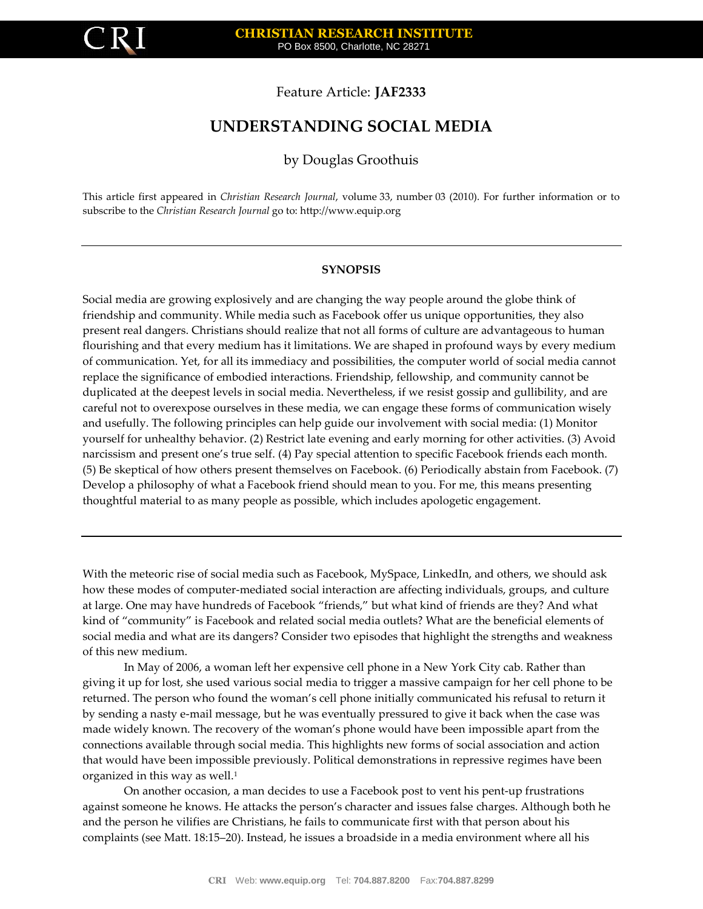

# Feature Article: **JAF2333**

# **UNDERSTANDING SOCIAL MEDIA**

# by Douglas Groothuis

This article first appeared in *Christian Research Journal*, volume 33, number 03 (2010). For further information or to subscribe to the *Christian Research Journal* go to[: http://www.equip.org](http://www.equip.org/)

#### **SYNOPSIS**

Social media are growing explosively and are changing the way people around the globe think of friendship and community. While media such as Facebook offer us unique opportunities, they also present real dangers. Christians should realize that not all forms of culture are advantageous to human flourishing and that every medium has it limitations. We are shaped in profound ways by every medium of communication. Yet, for all its immediacy and possibilities, the computer world of social media cannot replace the significance of embodied interactions. Friendship, fellowship, and community cannot be duplicated at the deepest levels in social media. Nevertheless, if we resist gossip and gullibility, and are careful not to overexpose ourselves in these media, we can engage these forms of communication wisely and usefully. The following principles can help guide our involvement with social media: (1) Monitor yourself for unhealthy behavior. (2) Restrict late evening and early morning for other activities. (3) Avoid narcissism and present one's true self. (4) Pay special attention to specific Facebook friends each month. (5) Be skeptical of how others present themselves on Facebook. (6) Periodically abstain from Facebook. (7) Develop a philosophy of what a Facebook friend should mean to you. For me, this means presenting thoughtful material to as many people as possible, which includes apologetic engagement.

With the meteoric rise of social media such as Facebook, MySpace, LinkedIn, and others, we should ask how these modes of computer-mediated social interaction are affecting individuals, groups, and culture at large. One may have hundreds of Facebook "friends," but what kind of friends are they? And what kind of "community" is Facebook and related social media outlets? What are the beneficial elements of social media and what are its dangers? Consider two episodes that highlight the strengths and weakness of this new medium.

In May of 2006, a woman left her expensive cell phone in a New York City cab. Rather than giving it up for lost, she used various social media to trigger a massive campaign for her cell phone to be returned. The person who found the woman's cell phone initially communicated his refusal to return it by sending a nasty e-mail message, but he was eventually pressured to give it back when the case was made widely known. The recovery of the woman's phone would have been impossible apart from the connections available through social media. This highlights new forms of social association and action that would have been impossible previously. Political demonstrations in repressive regimes have been organized in this way as well. 1

On another occasion, a man decides to use a Facebook post to vent his pent-up frustrations against someone he knows. He attacks the person's character and issues false charges. Although both he and the person he vilifies are Christians, he fails to communicate first with that person about his complaints (see Matt. 18:15–20). Instead, he issues a broadside in a media environment where all his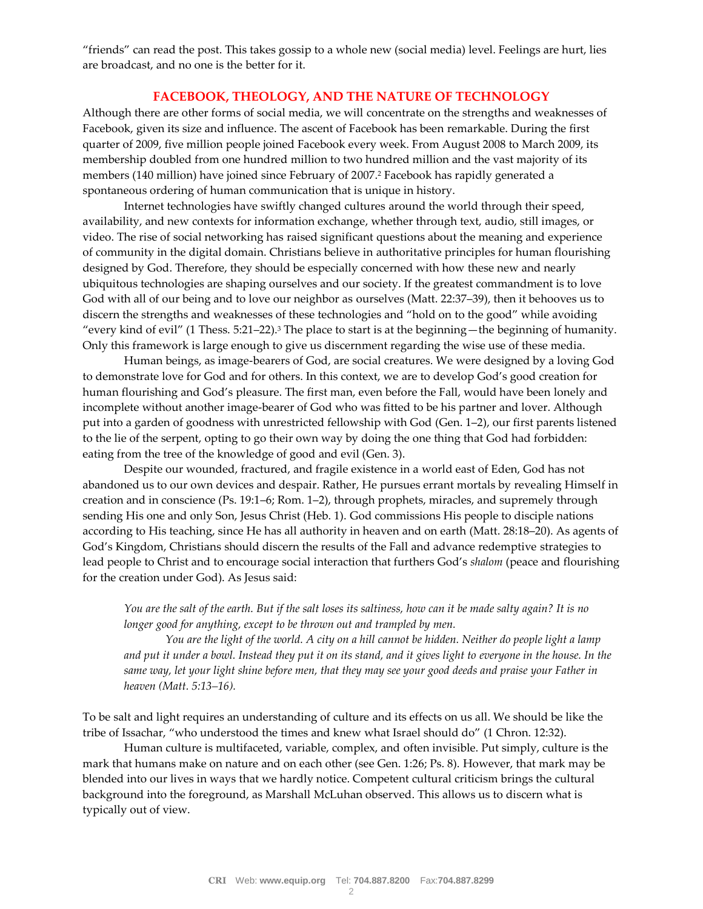"friends" can read the post. This takes gossip to a whole new (social media) level. Feelings are hurt, lies are broadcast, and no one is the better for it.

## **FACEBOOK, THEOLOGY, AND THE NATURE OF TECHNOLOGY**

Although there are other forms of social media, we will concentrate on the strengths and weaknesses of Facebook, given its size and influence. The ascent of Facebook has been remarkable. During the first quarter of 2009, five million people joined Facebook every week. From August 2008 to March 2009, its membership doubled from one hundred million to two hundred million and the vast majority of its members (140 million) have joined since February of 2007.<sup>2</sup> Facebook has rapidly generated a spontaneous ordering of human communication that is unique in history.

Internet technologies have swiftly changed cultures around the world through their speed, availability, and new contexts for information exchange, whether through text, audio, still images, or video. The rise of social networking has raised significant questions about the meaning and experience of community in the digital domain. Christians believe in authoritative principles for human flourishing designed by God. Therefore, they should be especially concerned with how these new and nearly ubiquitous technologies are shaping ourselves and our society. If the greatest commandment is to love God with all of our being and to love our neighbor as ourselves (Matt. 22:37–39), then it behooves us to discern the strengths and weaknesses of these technologies and "hold on to the good" while avoiding "every kind of evil" (1 Thess. 5:21–22).<sup>3</sup> The place to start is at the beginning—the beginning of humanity. Only this framework is large enough to give us discernment regarding the wise use of these media.

Human beings, as image-bearers of God, are social creatures. We were designed by a loving God to demonstrate love for God and for others. In this context, we are to develop God's good creation for human flourishing and God's pleasure. The first man, even before the Fall, would have been lonely and incomplete without another image-bearer of God who was fitted to be his partner and lover. Although put into a garden of goodness with unrestricted fellowship with God (Gen. 1–2), our first parents listened to the lie of the serpent, opting to go their own way by doing the one thing that God had forbidden: eating from the tree of the knowledge of good and evil (Gen. 3).

Despite our wounded, fractured, and fragile existence in a world east of Eden, God has not abandoned us to our own devices and despair. Rather, He pursues errant mortals by revealing Himself in creation and in conscience (Ps. 19:1–6; Rom. 1–2), through prophets, miracles, and supremely through sending His one and only Son, Jesus Christ (Heb. 1). God commissions His people to disciple nations according to His teaching, since He has all authority in heaven and on earth (Matt. 28:18–20). As agents of God's Kingdom, Christians should discern the results of the Fall and advance redemptive strategies to lead people to Christ and to encourage social interaction that furthers God's *shalom* (peace and flourishing for the creation under God). As Jesus said:

*You are the salt of the earth. But if the salt loses its saltiness, how can it be made salty again? It is no longer good for anything, except to be thrown out and trampled by men.*

*You are the light of the world. A city on a hill cannot be hidden. Neither do people light a lamp and put it under a bowl. Instead they put it on its stand, and it gives light to everyone in the house. In the same way, let your light shine before men, that they may see your good deeds and praise your Father in heaven (Matt. 5:13–16).*

To be salt and light requires an understanding of culture and its effects on us all. We should be like the tribe of Issachar, "who understood the times and knew what Israel should do" (1 Chron. 12:32).

Human culture is multifaceted, variable, complex, and often invisible. Put simply, culture is the mark that humans make on nature and on each other (see Gen. 1:26; Ps. 8). However, that mark may be blended into our lives in ways that we hardly notice. Competent cultural criticism brings the cultural background into the foreground, as Marshall McLuhan observed. This allows us to discern what is typically out of view.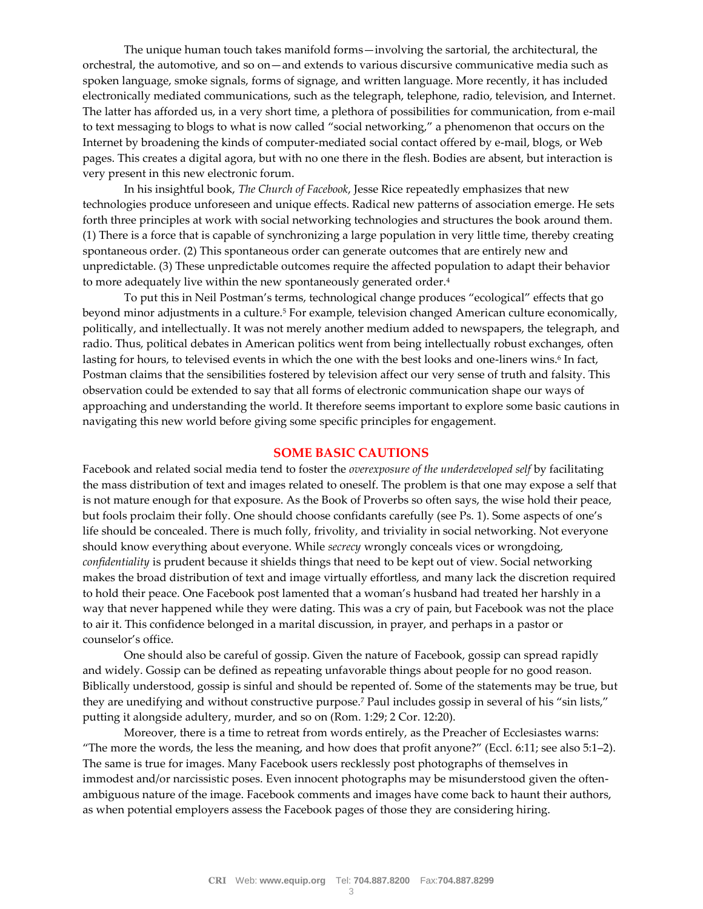The unique human touch takes manifold forms—involving the sartorial, the architectural, the orchestral, the automotive, and so on—and extends to various discursive communicative media such as spoken language, smoke signals, forms of signage, and written language. More recently, it has included electronically mediated communications, such as the telegraph, telephone, radio, television, and Internet. The latter has afforded us, in a very short time, a plethora of possibilities for communication, from e-mail to text messaging to blogs to what is now called "social networking," a phenomenon that occurs on the Internet by broadening the kinds of computer-mediated social contact offered by e-mail, blogs, or Web pages. This creates a digital agora, but with no one there in the flesh. Bodies are absent, but interaction is very present in this new electronic forum.

In his insightful book, *The Church of Facebook*, Jesse Rice repeatedly emphasizes that new technologies produce unforeseen and unique effects. Radical new patterns of association emerge. He sets forth three principles at work with social networking technologies and structures the book around them. (1) There is a force that is capable of synchronizing a large population in very little time, thereby creating spontaneous order. (2) This spontaneous order can generate outcomes that are entirely new and unpredictable. (3) These unpredictable outcomes require the affected population to adapt their behavior to more adequately live within the new spontaneously generated order.<sup>4</sup>

To put this in Neil Postman's terms, technological change produces "ecological" effects that go beyond minor adjustments in a culture.<sup>5</sup> For example, television changed American culture economically, politically, and intellectually. It was not merely another medium added to newspapers, the telegraph, and radio. Thus, political debates in American politics went from being intellectually robust exchanges, often lasting for hours, to televised events in which the one with the best looks and one-liners wins.6 In fact, Postman claims that the sensibilities fostered by television affect our very sense of truth and falsity. This observation could be extended to say that all forms of electronic communication shape our ways of approaching and understanding the world. It therefore seems important to explore some basic cautions in navigating this new world before giving some specific principles for engagement.

#### **SOME BASIC CAUTIONS**

Facebook and related social media tend to foster the *overexposure of the underdeveloped self* by facilitating the mass distribution of text and images related to oneself. The problem is that one may expose a self that is not mature enough for that exposure. As the Book of Proverbs so often says, the wise hold their peace, but fools proclaim their folly. One should choose confidants carefully (see Ps. 1). Some aspects of one's life should be concealed. There is much folly, frivolity, and triviality in social networking. Not everyone should know everything about everyone. While *secrecy* wrongly conceals vices or wrongdoing, *confidentiality* is prudent because it shields things that need to be kept out of view. Social networking makes the broad distribution of text and image virtually effortless, and many lack the discretion required to hold their peace. One Facebook post lamented that a woman's husband had treated her harshly in a way that never happened while they were dating. This was a cry of pain, but Facebook was not the place to air it. This confidence belonged in a marital discussion, in prayer, and perhaps in a pastor or counselor's office.

One should also be careful of gossip. Given the nature of Facebook, gossip can spread rapidly and widely. Gossip can be defined as repeating unfavorable things about people for no good reason. Biblically understood, gossip is sinful and should be repented of. Some of the statements may be true, but they are unedifying and without constructive purpose.<sup>7</sup> Paul includes gossip in several of his "sin lists," putting it alongside adultery, murder, and so on (Rom. 1:29; 2 Cor. 12:20).

Moreover, there is a time to retreat from words entirely, as the Preacher of Ecclesiastes warns: "The more the words, the less the meaning, and how does that profit anyone?" (Eccl. 6:11; see also 5:1–2). The same is true for images. Many Facebook users recklessly post photographs of themselves in immodest and/or narcissistic poses. Even innocent photographs may be misunderstood given the oftenambiguous nature of the image. Facebook comments and images have come back to haunt their authors, as when potential employers assess the Facebook pages of those they are considering hiring.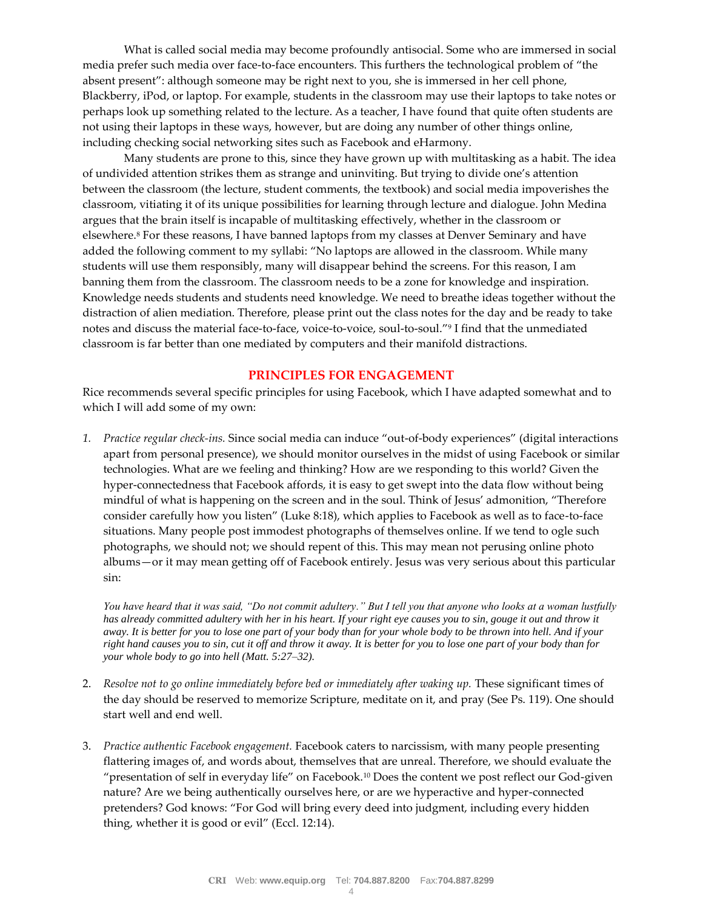What is called social media may become profoundly antisocial. Some who are immersed in social media prefer such media over face-to-face encounters. This furthers the technological problem of "the absent present": although someone may be right next to you, she is immersed in her cell phone, Blackberry, iPod, or laptop. For example, students in the classroom may use their laptops to take notes or perhaps look up something related to the lecture. As a teacher, I have found that quite often students are not using their laptops in these ways, however, but are doing any number of other things online, including checking social networking sites such as Facebook and eHarmony.

Many students are prone to this, since they have grown up with multitasking as a habit. The idea of undivided attention strikes them as strange and uninviting. But trying to divide one's attention between the classroom (the lecture, student comments, the textbook) and social media impoverishes the classroom, vitiating it of its unique possibilities for learning through lecture and dialogue. John Medina argues that the brain itself is incapable of multitasking effectively, whether in the classroom or elsewhere.<sup>8</sup> For these reasons, I have banned laptops from my classes at Denver Seminary and have added the following comment to my syllabi: "No laptops are allowed in the classroom. While many students will use them responsibly, many will disappear behind the screens. For this reason, I am banning them from the classroom. The classroom needs to be a zone for knowledge and inspiration. Knowledge needs students and students need knowledge. We need to breathe ideas together without the distraction of alien mediation. Therefore, please print out the class notes for the day and be ready to take notes and discuss the material face-to-face, voice-to-voice, soul-to-soul."<sup>9</sup> I find that the unmediated classroom is far better than one mediated by computers and their manifold distractions.

## **PRINCIPLES FOR ENGAGEMENT**

Rice recommends several specific principles for using Facebook, which I have adapted somewhat and to which I will add some of my own:

*1. Practice regular check-ins.* Since social media can induce "out-of-body experiences" (digital interactions apart from personal presence), we should monitor ourselves in the midst of using Facebook or similar technologies. What are we feeling and thinking? How are we responding to this world? Given the hyper-connectedness that Facebook affords, it is easy to get swept into the data flow without being mindful of what is happening on the screen and in the soul. Think of Jesus' admonition, "Therefore consider carefully how you listen" (Luke 8:18), which applies to Facebook as well as to face-to-face situations. Many people post immodest photographs of themselves online. If we tend to ogle such photographs, we should not; we should repent of this. This may mean not perusing online photo albums—or it may mean getting off of Facebook entirely. Jesus was very serious about this particular sin:

*You have heard that it was said, "Do not commit adultery." But I tell you that anyone who looks at a woman lustfully*  has already committed adultery with her in his heart. If your right eye causes you to sin, gouge it out and throw it *away. It is better for you to lose one part of your body than for your whole body to be thrown into hell. And if your right hand causes you to sin, cut it off and throw it away. It is better for you to lose one part of your body than for your whole body to go into hell (Matt. 5:27–32).*

- 2. *Resolve not to go online immediately before bed or immediately after waking up.* These significant times of the day should be reserved to memorize Scripture, meditate on it, and pray (See Ps. 119). One should start well and end well.
- 3. *Practice authentic Facebook engagement.* Facebook caters to narcissism, with many people presenting flattering images of, and words about, themselves that are unreal. Therefore, we should evaluate the "presentation of self in everyday life" on Facebook.<sup>10</sup> Does the content we post reflect our God-given nature? Are we being authentically ourselves here, or are we hyperactive and hyper-connected pretenders? God knows: "For God will bring every deed into judgment, including every hidden thing, whether it is good or evil" (Eccl. 12:14).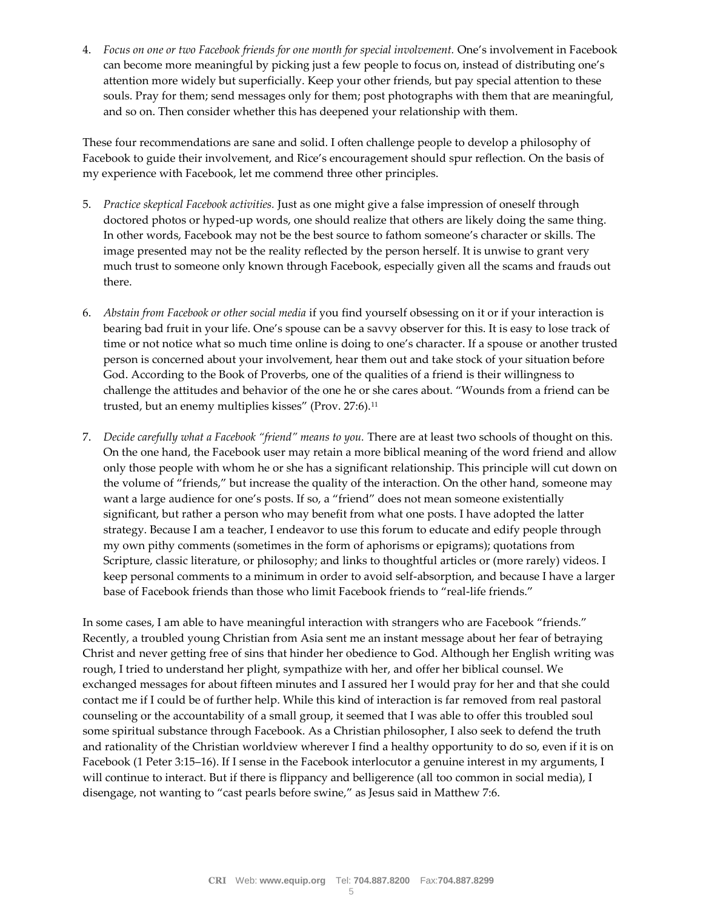4. *Focus on one or two Facebook friends for one month for special involvement.* One's involvement in Facebook can become more meaningful by picking just a few people to focus on, instead of distributing one's attention more widely but superficially. Keep your other friends, but pay special attention to these souls. Pray for them; send messages only for them; post photographs with them that are meaningful, and so on. Then consider whether this has deepened your relationship with them.

These four recommendations are sane and solid. I often challenge people to develop a philosophy of Facebook to guide their involvement, and Rice's encouragement should spur reflection. On the basis of my experience with Facebook, let me commend three other principles.

- 5. *Practice skeptical Facebook activities.* Just as one might give a false impression of oneself through doctored photos or hyped-up words, one should realize that others are likely doing the same thing. In other words, Facebook may not be the best source to fathom someone's character or skills. The image presented may not be the reality reflected by the person herself. It is unwise to grant very much trust to someone only known through Facebook, especially given all the scams and frauds out there.
- 6. *Abstain from Facebook or other social media* if you find yourself obsessing on it or if your interaction is bearing bad fruit in your life. One's spouse can be a savvy observer for this. It is easy to lose track of time or not notice what so much time online is doing to one's character. If a spouse or another trusted person is concerned about your involvement, hear them out and take stock of your situation before God. According to the Book of Proverbs, one of the qualities of a friend is their willingness to challenge the attitudes and behavior of the one he or she cares about. "Wounds from a friend can be trusted, but an enemy multiplies kisses" (Prov. 27:6).<sup>11</sup>
- 7. *Decide carefully what a Facebook "friend" means to you.* There are at least two schools of thought on this. On the one hand, the Facebook user may retain a more biblical meaning of the word friend and allow only those people with whom he or she has a significant relationship. This principle will cut down on the volume of "friends," but increase the quality of the interaction. On the other hand, someone may want a large audience for one's posts. If so, a "friend" does not mean someone existentially significant, but rather a person who may benefit from what one posts. I have adopted the latter strategy. Because I am a teacher, I endeavor to use this forum to educate and edify people through my own pithy comments (sometimes in the form of aphorisms or epigrams); quotations from Scripture, classic literature, or philosophy; and links to thoughtful articles or (more rarely) videos. I keep personal comments to a minimum in order to avoid self-absorption, and because I have a larger base of Facebook friends than those who limit Facebook friends to "real-life friends."

In some cases, I am able to have meaningful interaction with strangers who are Facebook "friends." Recently, a troubled young Christian from Asia sent me an instant message about her fear of betraying Christ and never getting free of sins that hinder her obedience to God. Although her English writing was rough, I tried to understand her plight, sympathize with her, and offer her biblical counsel. We exchanged messages for about fifteen minutes and I assured her I would pray for her and that she could contact me if I could be of further help. While this kind of interaction is far removed from real pastoral counseling or the accountability of a small group, it seemed that I was able to offer this troubled soul some spiritual substance through Facebook. As a Christian philosopher, I also seek to defend the truth and rationality of the Christian worldview wherever I find a healthy opportunity to do so, even if it is on Facebook (1 Peter 3:15–16). If I sense in the Facebook interlocutor a genuine interest in my arguments, I will continue to interact. But if there is flippancy and belligerence (all too common in social media), I disengage, not wanting to "cast pearls before swine," as Jesus said in Matthew 7:6.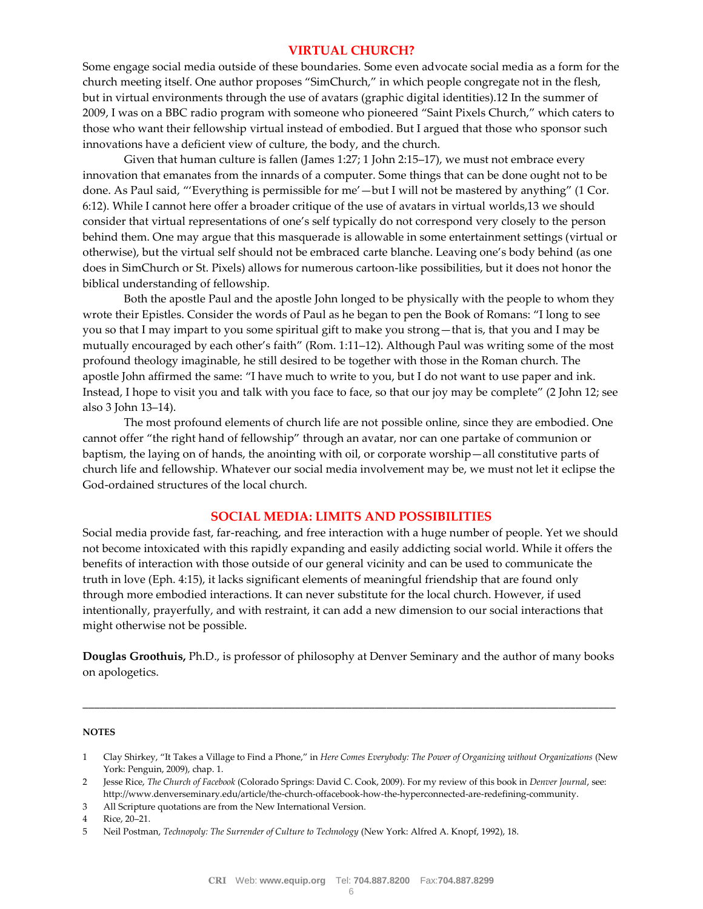# **VIRTUAL CHURCH?**

Some engage social media outside of these boundaries. Some even advocate social media as a form for the church meeting itself. One author proposes "SimChurch," in which people congregate not in the flesh, but in virtual environments through the use of avatars (graphic digital identities).12 In the summer of 2009, I was on a BBC radio program with someone who pioneered "Saint Pixels Church," which caters to those who want their fellowship virtual instead of embodied. But I argued that those who sponsor such innovations have a deficient view of culture, the body, and the church.

Given that human culture is fallen (James 1:27; 1 John 2:15–17), we must not embrace every innovation that emanates from the innards of a computer. Some things that can be done ought not to be done. As Paul said, "'Everything is permissible for me'—but I will not be mastered by anything" (1 Cor. 6:12). While I cannot here offer a broader critique of the use of avatars in virtual worlds,13 we should consider that virtual representations of one's self typically do not correspond very closely to the person behind them. One may argue that this masquerade is allowable in some entertainment settings (virtual or otherwise), but the virtual self should not be embraced carte blanche. Leaving one's body behind (as one does in SimChurch or St. Pixels) allows for numerous cartoon-like possibilities, but it does not honor the biblical understanding of fellowship.

Both the apostle Paul and the apostle John longed to be physically with the people to whom they wrote their Epistles. Consider the words of Paul as he began to pen the Book of Romans: "I long to see you so that I may impart to you some spiritual gift to make you strong—that is, that you and I may be mutually encouraged by each other's faith" (Rom. 1:11–12). Although Paul was writing some of the most profound theology imaginable, he still desired to be together with those in the Roman church. The apostle John affirmed the same: "I have much to write to you, but I do not want to use paper and ink. Instead, I hope to visit you and talk with you face to face, so that our joy may be complete" (2 John 12; see also 3 John 13–14).

The most profound elements of church life are not possible online, since they are embodied. One cannot offer "the right hand of fellowship" through an avatar, nor can one partake of communion or baptism, the laying on of hands, the anointing with oil, or corporate worship—all constitutive parts of church life and fellowship. Whatever our social media involvement may be, we must not let it eclipse the God-ordained structures of the local church.

## **SOCIAL MEDIA: LIMITS AND POSSIBILITIES**

Social media provide fast, far-reaching, and free interaction with a huge number of people. Yet we should not become intoxicated with this rapidly expanding and easily addicting social world. While it offers the benefits of interaction with those outside of our general vicinity and can be used to communicate the truth in love (Eph. 4:15), it lacks significant elements of meaningful friendship that are found only through more embodied interactions. It can never substitute for the local church. However, if used intentionally, prayerfully, and with restraint, it can add a new dimension to our social interactions that might otherwise not be possible.

**Douglas Groothuis,** Ph.D., is professor of philosophy at Denver Seminary and the author of many books on apologetics.

\_\_\_\_\_\_\_\_\_\_\_\_\_\_\_\_\_\_\_\_\_\_\_\_\_\_\_\_\_\_\_\_\_\_\_\_\_\_\_\_\_\_\_\_\_\_\_\_\_\_\_\_\_\_\_\_\_\_\_\_\_\_\_\_\_\_\_\_\_\_\_\_\_\_\_\_\_\_\_\_\_\_\_\_\_\_\_\_\_\_\_\_\_

#### **NOTES**

<sup>1</sup> Clay Shirkey, "It Takes a Village to Find a Phone," in *Here Comes Everybody: The Power of Organizing without Organizations* (New York: Penguin, 2009), chap. 1.

<sup>2</sup> Jesse Rice, *The Church of Facebook* (Colorado Springs: David C. Cook, 2009). For my review of this book in *Denver Journal*, see: http://www.denverseminary.edu/article/the-church-offacebook-how-the-hyperconnected-are-redefining-community.

<sup>3</sup> All Scripture quotations are from the New International Version.

<sup>4</sup> Rice, 20–21.

<sup>5</sup> Neil Postman, *Technopoly: The Surrender of Culture to Technology* (New York: Alfred A. Knopf, 1992), 18.